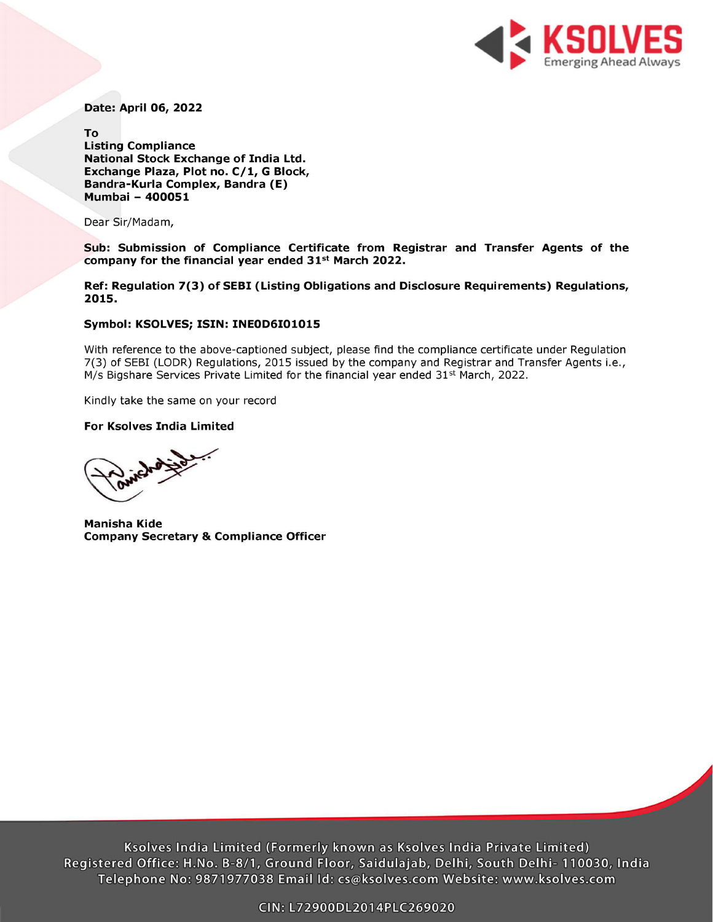

Date: April 06, 2022

To Listing Compliance National Stock Exchange of India Ltd. Exchange Plaza, Plot no. C/1, G Block, Bandra-Kurla Complex, Bandra (E) Mumbai - 400051

Dear Sir/Madam,

Sub: Submission of Compliance Certificate from Registrar and Transfer Agents of the company for the financial year ended 31<sup>st</sup> March 2022.

Ref: Regulation 7(3) of SEBI (Listing Obligations and Disclosure Requirements) Regulations, 2015.

## Symbol: KSOLVES; ISIN: INEOD6101015

With reference to the above-captioned subject, please find the compliance certificate under Regulation 7(3) of SEBI (LODR) Regulations, 2015 issued by the company and Registrar and Transfer Agents i.e., M/s Bigshare Services Private Limited for the financial year ended  $31<sup>st</sup>$  March, 2022.

Kindly take the same on your record

## For Ksolves India Limited

Manisha Kide Company Secretary & Compliance Officer

Ksolves India Limited (Formerly known as Ksolves India Private Limited) Registered Office: H.No. B-8/1, Ground Floor, Saidulajab, Delhi, South Delhi- 110030, India Telephone No: 9871977038 Email Id: cs@ksolves.com Website: www.ksolves.com GIN: L72900DL2014PLE269020